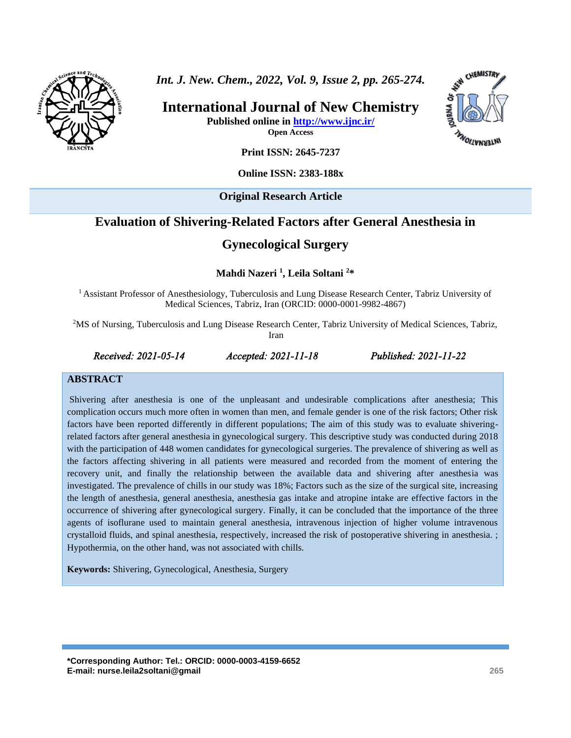

*Int. J. New. Chem., 2022, Vol. 9, Issue 2, pp. 265-274.*

**International Journal of New Chemistry Published online in<http://www.ijnc.ir/>**

**CHEMISTRY** INTERNATIONS

**Open Access**

**Print ISSN: 2645-7237**

**Online ISSN: 2383-188x**

**Original Research Article** 

# **Evaluation of Shivering-Related Factors after General Anesthesia in**

# **Gynecological Surgery**

**Mahdi Nazeri <sup>1</sup> , Leila Soltani <sup>2</sup>\***

<sup>1</sup> Assistant Professor of Anesthesiology, Tuberculosis and Lung Disease Research Center, Tabriz University of Medical Sciences, Tabriz, Iran (ORCID: 0000-0001-9982-4867)

<sup>2</sup>MS of Nursing, Tuberculosis and Lung Disease Research Center, Tabriz University of Medical Sciences, Tabriz, Iran

*Received: 2021-05-14 Accepted: 2021-11-18 Published: 2021-11-22* 

#### **ABSTRACT**

Shivering after anesthesia is one of the unpleasant and undesirable complications after anesthesia; This complication occurs much more often in women than men, and female gender is one of the risk factors; Other risk factors have been reported differently in different populations; The aim of this study was to evaluate shiveringrelated factors after general anesthesia in gynecological surgery. This descriptive study was conducted during 2018 with the participation of 448 women candidates for gynecological surgeries. The prevalence of shivering as well as the factors affecting shivering in all patients were measured and recorded from the moment of entering the recovery unit, and finally the relationship between the available data and shivering after anesthesia was investigated. The prevalence of chills in our study was 18%; Factors such as the size of the surgical site, increasing the length of anesthesia, general anesthesia, anesthesia gas intake and atropine intake are effective factors in the occurrence of shivering after gynecological surgery. Finally, it can be concluded that the importance of the three agents of isoflurane used to maintain general anesthesia, intravenous injection of higher volume intravenous crystalloid fluids, and spinal anesthesia, respectively, increased the risk of postoperative shivering in anesthesia. ; Hypothermia, on the other hand, was not associated with chills.

**Keywords:** Shivering, Gynecological, Anesthesia, Surgery

**\*Corresponding Author: Tel.: ORCID: 0000-0003-4159-6652 E-mail: nurse.leila2soltani@gmail 265**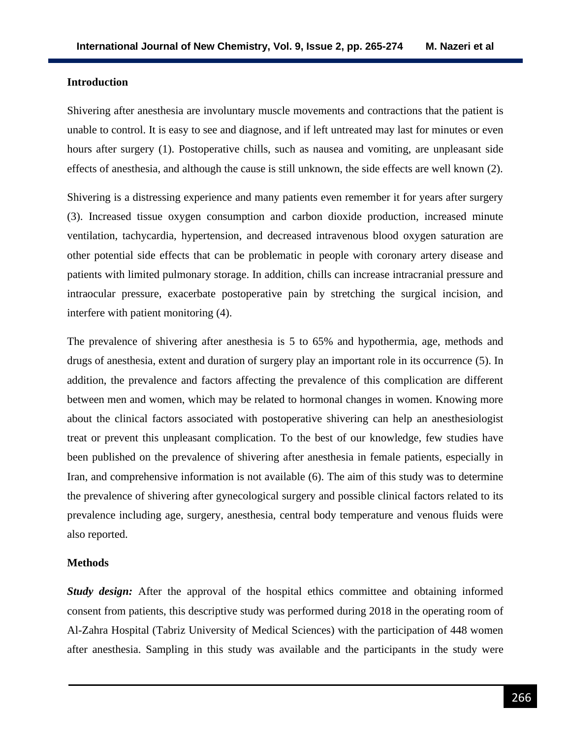#### **Introduction**

Shivering after anesthesia are involuntary muscle movements and contractions that the patient is unable to control. It is easy to see and diagnose, and if left untreated may last for minutes or even hours after surgery (1). Postoperative chills, such as nausea and vomiting, are unpleasant side effects of anesthesia, and although the cause is still unknown, the side effects are well known (2).

Shivering is a distressing experience and many patients even remember it for years after surgery (3). Increased tissue oxygen consumption and carbon dioxide production, increased minute ventilation, tachycardia, hypertension, and decreased intravenous blood oxygen saturation are other potential side effects that can be problematic in people with coronary artery disease and patients with limited pulmonary storage. In addition, chills can increase intracranial pressure and intraocular pressure, exacerbate postoperative pain by stretching the surgical incision, and interfere with patient monitoring (4).

The prevalence of shivering after anesthesia is 5 to 65% and hypothermia, age, methods and drugs of anesthesia, extent and duration of surgery play an important role in its occurrence (5). In addition, the prevalence and factors affecting the prevalence of this complication are different between men and women, which may be related to hormonal changes in women. Knowing more about the clinical factors associated with postoperative shivering can help an anesthesiologist treat or prevent this unpleasant complication. To the best of our knowledge, few studies have been published on the prevalence of shivering after anesthesia in female patients, especially in Iran, and comprehensive information is not available (6). The aim of this study was to determine the prevalence of shivering after gynecological surgery and possible clinical factors related to its prevalence including age, surgery, anesthesia, central body temperature and venous fluids were also reported.

#### **Methods**

*Study design:* After the approval of the hospital ethics committee and obtaining informed consent from patients, this descriptive study was performed during 2018 in the operating room of Al-Zahra Hospital (Tabriz University of Medical Sciences) with the participation of 448 women after anesthesia. Sampling in this study was available and the participants in the study were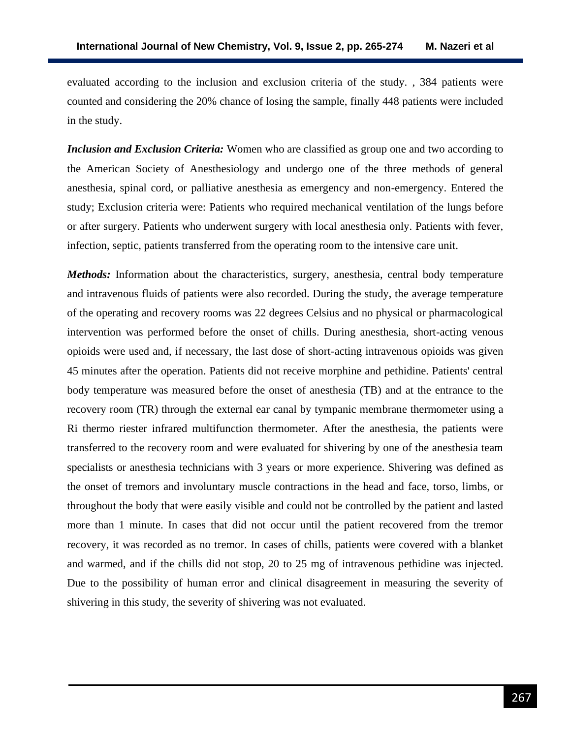evaluated according to the inclusion and exclusion criteria of the study. , 384 patients were counted and considering the 20% chance of losing the sample, finally 448 patients were included in the study.

*Inclusion and Exclusion Criteria:* Women who are classified as group one and two according to the American Society of Anesthesiology and undergo one of the three methods of general anesthesia, spinal cord, or palliative anesthesia as emergency and non-emergency. Entered the study; Exclusion criteria were: Patients who required mechanical ventilation of the lungs before or after surgery. Patients who underwent surgery with local anesthesia only. Patients with fever, infection, septic, patients transferred from the operating room to the intensive care unit.

*Methods:* Information about the characteristics, surgery, anesthesia, central body temperature and intravenous fluids of patients were also recorded. During the study, the average temperature of the operating and recovery rooms was 22 degrees Celsius and no physical or pharmacological intervention was performed before the onset of chills. During anesthesia, short-acting venous opioids were used and, if necessary, the last dose of short-acting intravenous opioids was given 45 minutes after the operation. Patients did not receive morphine and pethidine. Patients' central body temperature was measured before the onset of anesthesia (TB) and at the entrance to the recovery room (TR) through the external ear canal by tympanic membrane thermometer using a Ri thermo riester infrared multifunction thermometer. After the anesthesia, the patients were transferred to the recovery room and were evaluated for shivering by one of the anesthesia team specialists or anesthesia technicians with 3 years or more experience. Shivering was defined as the onset of tremors and involuntary muscle contractions in the head and face, torso, limbs, or throughout the body that were easily visible and could not be controlled by the patient and lasted more than 1 minute. In cases that did not occur until the patient recovered from the tremor recovery, it was recorded as no tremor. In cases of chills, patients were covered with a blanket and warmed, and if the chills did not stop, 20 to 25 mg of intravenous pethidine was injected. Due to the possibility of human error and clinical disagreement in measuring the severity of shivering in this study, the severity of shivering was not evaluated.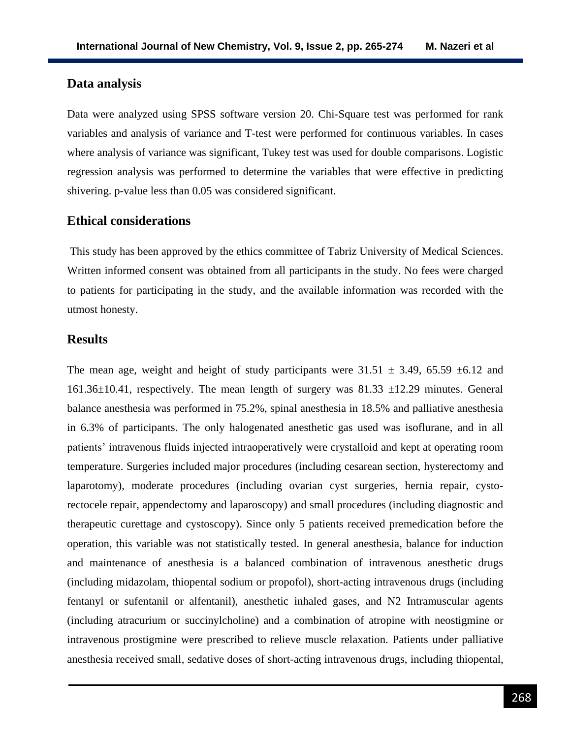#### **Data analysis**

Data were analyzed using SPSS software version 20. Chi-Square test was performed for rank variables and analysis of variance and T-test were performed for continuous variables. In cases where analysis of variance was significant, Tukey test was used for double comparisons. Logistic regression analysis was performed to determine the variables that were effective in predicting shivering. p-value less than 0.05 was considered significant.

### **Ethical considerations**

This study has been approved by the ethics committee of Tabriz University of Medical Sciences. Written informed consent was obtained from all participants in the study. No fees were charged to patients for participating in the study, and the available information was recorded with the utmost honesty.

## **Results**

The mean age, weight and height of study participants were  $31.51 \pm 3.49$ , 65.59  $\pm 6.12$  and 161.36 $\pm$ 10.41, respectively. The mean length of surgery was 81.33  $\pm$ 12.29 minutes. General balance anesthesia was performed in 75.2%, spinal anesthesia in 18.5% and palliative anesthesia in 6.3% of participants. The only halogenated anesthetic gas used was isoflurane, and in all patients' intravenous fluids injected intraoperatively were crystalloid and kept at operating room temperature. Surgeries included major procedures (including cesarean section, hysterectomy and laparotomy), moderate procedures (including ovarian cyst surgeries, hernia repair, cystorectocele repair, appendectomy and laparoscopy) and small procedures (including diagnostic and therapeutic curettage and cystoscopy). Since only 5 patients received premedication before the operation, this variable was not statistically tested. In general anesthesia, balance for induction and maintenance of anesthesia is a balanced combination of intravenous anesthetic drugs (including midazolam, thiopental sodium or propofol), short-acting intravenous drugs (including fentanyl or sufentanil or alfentanil), anesthetic inhaled gases, and N2 Intramuscular agents (including atracurium or succinylcholine) and a combination of atropine with neostigmine or intravenous prostigmine were prescribed to relieve muscle relaxation. Patients under palliative anesthesia received small, sedative doses of short-acting intravenous drugs, including thiopental,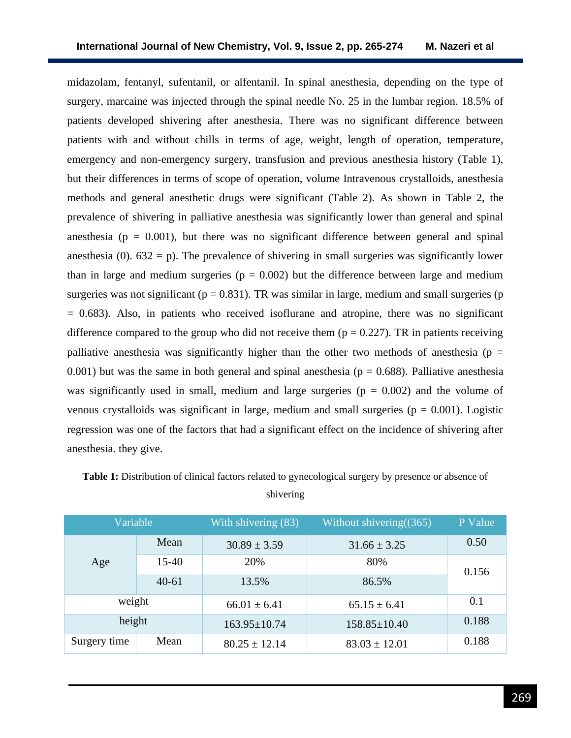midazolam, fentanyl, sufentanil, or alfentanil. In spinal anesthesia, depending on the type of surgery, marcaine was injected through the spinal needle No. 25 in the lumbar region. 18.5% of patients developed shivering after anesthesia. There was no significant difference between patients with and without chills in terms of age, weight, length of operation, temperature, emergency and non-emergency surgery, transfusion and previous anesthesia history (Table 1), but their differences in terms of scope of operation, volume Intravenous crystalloids, anesthesia methods and general anesthetic drugs were significant (Table 2). As shown in Table 2, the prevalence of shivering in palliative anesthesia was significantly lower than general and spinal anesthesia ( $p = 0.001$ ), but there was no significant difference between general and spinal anesthesia (0).  $632 = p$ ). The prevalence of shivering in small surgeries was significantly lower than in large and medium surgeries ( $p = 0.002$ ) but the difference between large and medium surgeries was not significant ( $p = 0.831$ ). TR was similar in large, medium and small surgeries ( $p$ )  $= 0.683$ ). Also, in patients who received isoflurane and atropine, there was no significant difference compared to the group who did not receive them ( $p = 0.227$ ). TR in patients receiving palliative anesthesia was significantly higher than the other two methods of anesthesia ( $p =$ 0.001) but was the same in both general and spinal anesthesia ( $p = 0.688$ ). Palliative anesthesia was significantly used in small, medium and large surgeries ( $p = 0.002$ ) and the volume of venous crystalloids was significant in large, medium and small surgeries ( $p = 0.001$ ). Logistic regression was one of the factors that had a significant effect on the incidence of shivering after anesthesia. they give.

| Variable     |           | With shivering (83) | Without shivering $(365)$ | P Value |
|--------------|-----------|---------------------|---------------------------|---------|
| Age          | Mean      | $30.89 \pm 3.59$    | $31.66 \pm 3.25$          | 0.50    |
|              | $15-40$   | 20%                 | 80%                       | 0.156   |
|              | $40 - 61$ | 13.5%               | 86.5%                     |         |
| weight       |           | $66.01 \pm 6.41$    | $65.15 \pm 6.41$          | 0.1     |
| height       |           | $163.95 \pm 10.74$  | $158.85 \pm 10.40$        | 0.188   |
| Surgery time | Mean      | $80.25 \pm 12.14$   | $83.03 \pm 12.01$         | 0.188   |

**Table 1:** Distribution of clinical factors related to gynecological surgery by presence or absence of shivering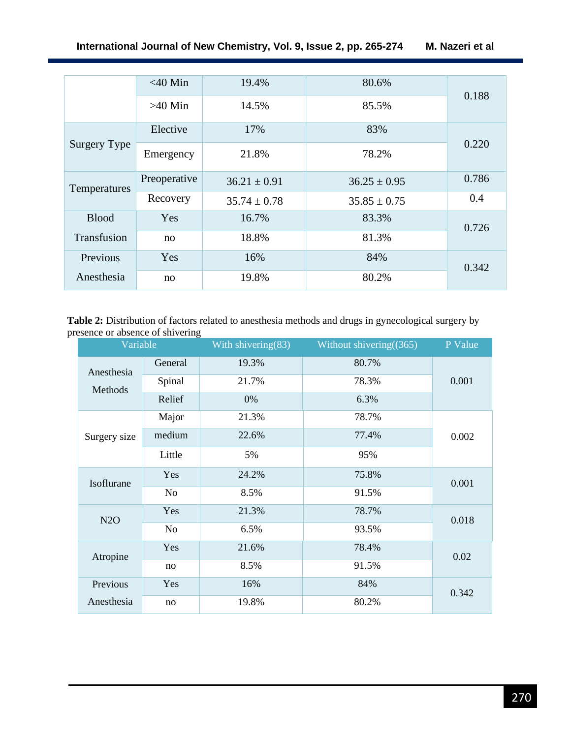|              | $<$ 40 Min   | 19.4%            | 80.6%            |       |
|--------------|--------------|------------------|------------------|-------|
|              | $>40$ Min    | 14.5%            | 85.5%            | 0.188 |
|              | Elective     | 17%              | 83%              |       |
| Surgery Type | Emergency    | 21.8%            | 78.2%            | 0.220 |
| Temperatures | Preoperative | $36.21 \pm 0.91$ | $36.25 \pm 0.95$ | 0.786 |
|              | Recovery     | $35.74 \pm 0.78$ | $35.85 \pm 0.75$ | 0.4   |
| <b>Blood</b> | Yes          | 16.7%            | 83.3%            | 0.726 |
| Transfusion  | no           | 18.8%            | 81.3%            |       |
| Previous     | Yes          | 16%              | 84%              | 0.342 |
| Anesthesia   | no           | 19.8%            | 80.2%            |       |

**Table 2:** Distribution of factors related to anesthesia methods and drugs in gynecological surgery by presence or absence of shivering

| Variable              |         | With shivering(83) | Without shivering $(365)$ | P Value |
|-----------------------|---------|--------------------|---------------------------|---------|
| Anesthesia<br>Methods | General | 19.3%              | 80.7%                     | 0.001   |
|                       | Spinal  | 21.7%              | 78.3%                     |         |
|                       | Relief  | 0%                 | 6.3%                      |         |
| Surgery size          | Major   | 21.3%              | 78.7%                     | 0.002   |
|                       | medium  | 22.6%              | 77.4%                     |         |
|                       | Little  | 5%                 | 95%                       |         |
| Isoflurane            | Yes     | 24.2%              | 75.8%                     | 0.001   |
|                       | No      | 8.5%               | 91.5%                     |         |
| N2O                   | Yes     | 21.3%              | 78.7%                     | 0.018   |
|                       | No      | 6.5%               | 93.5%                     |         |
| Atropine              | Yes     | 21.6%              | 78.4%                     | 0.02    |
|                       | no      | 8.5%               | 91.5%                     |         |
| Previous              | Yes     | 16%                | 84%                       | 0.342   |
| Anesthesia            | no      | 19.8%              | 80.2%                     |         |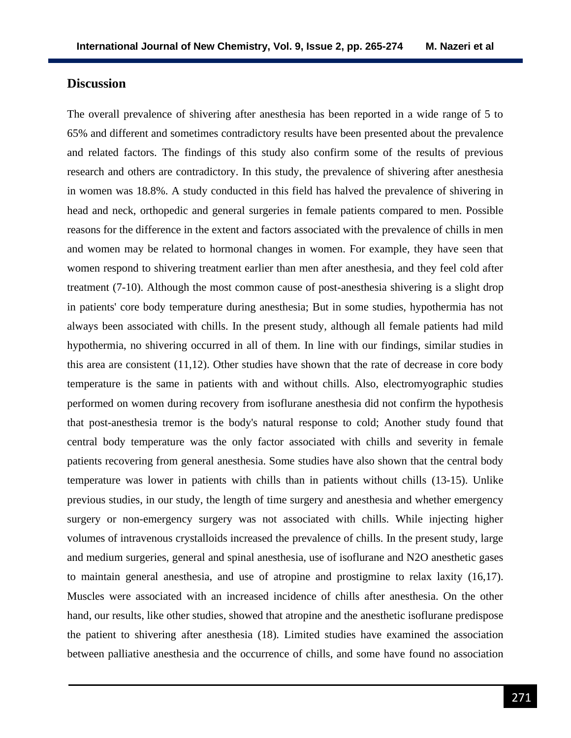### **Discussion**

The overall prevalence of shivering after anesthesia has been reported in a wide range of 5 to 65% and different and sometimes contradictory results have been presented about the prevalence and related factors. The findings of this study also confirm some of the results of previous research and others are contradictory. In this study, the prevalence of shivering after anesthesia in women was 18.8%. A study conducted in this field has halved the prevalence of shivering in head and neck, orthopedic and general surgeries in female patients compared to men. Possible reasons for the difference in the extent and factors associated with the prevalence of chills in men and women may be related to hormonal changes in women. For example, they have seen that women respond to shivering treatment earlier than men after anesthesia, and they feel cold after treatment (7-10). Although the most common cause of post-anesthesia shivering is a slight drop in patients' core body temperature during anesthesia; But in some studies, hypothermia has not always been associated with chills. In the present study, although all female patients had mild hypothermia, no shivering occurred in all of them. In line with our findings, similar studies in this area are consistent  $(11,12)$ . Other studies have shown that the rate of decrease in core body temperature is the same in patients with and without chills. Also, electromyographic studies performed on women during recovery from isoflurane anesthesia did not confirm the hypothesis that post-anesthesia tremor is the body's natural response to cold; Another study found that central body temperature was the only factor associated with chills and severity in female patients recovering from general anesthesia. Some studies have also shown that the central body temperature was lower in patients with chills than in patients without chills (13-15). Unlike previous studies, in our study, the length of time surgery and anesthesia and whether emergency surgery or non-emergency surgery was not associated with chills. While injecting higher volumes of intravenous crystalloids increased the prevalence of chills. In the present study, large and medium surgeries, general and spinal anesthesia, use of isoflurane and N2O anesthetic gases to maintain general anesthesia, and use of atropine and prostigmine to relax laxity (16,17). Muscles were associated with an increased incidence of chills after anesthesia. On the other hand, our results, like other studies, showed that atropine and the anesthetic isoflurane predispose the patient to shivering after anesthesia (18). Limited studies have examined the association between palliative anesthesia and the occurrence of chills, and some have found no association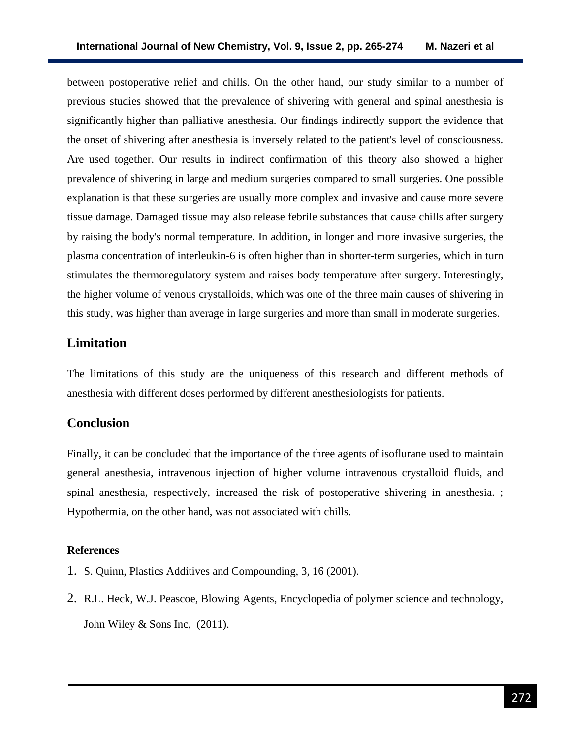between postoperative relief and chills. On the other hand, our study similar to a number of previous studies showed that the prevalence of shivering with general and spinal anesthesia is significantly higher than palliative anesthesia. Our findings indirectly support the evidence that the onset of shivering after anesthesia is inversely related to the patient's level of consciousness. Are used together. Our results in indirect confirmation of this theory also showed a higher prevalence of shivering in large and medium surgeries compared to small surgeries. One possible explanation is that these surgeries are usually more complex and invasive and cause more severe tissue damage. Damaged tissue may also release febrile substances that cause chills after surgery by raising the body's normal temperature. In addition, in longer and more invasive surgeries, the plasma concentration of interleukin-6 is often higher than in shorter-term surgeries, which in turn stimulates the thermoregulatory system and raises body temperature after surgery. Interestingly, the higher volume of venous crystalloids, which was one of the three main causes of shivering in this study, was higher than average in large surgeries and more than small in moderate surgeries.

## **Limitation**

The limitations of this study are the uniqueness of this research and different methods of anesthesia with different doses performed by different anesthesiologists for patients.

## **Conclusion**

Finally, it can be concluded that the importance of the three agents of isoflurane used to maintain general anesthesia, intravenous injection of higher volume intravenous crystalloid fluids, and spinal anesthesia, respectively, increased the risk of postoperative shivering in anesthesia. ; Hypothermia, on the other hand, was not associated with chills.

#### **References**

- 1. S. Quinn, Plastics Additives and Compounding, 3, 16 (2001).
- 2. R.L. Heck, W.J. Peascoe, Blowing Agents, Encyclopedia of polymer science and technology, John Wiley & Sons Inc,  $(2011)$ .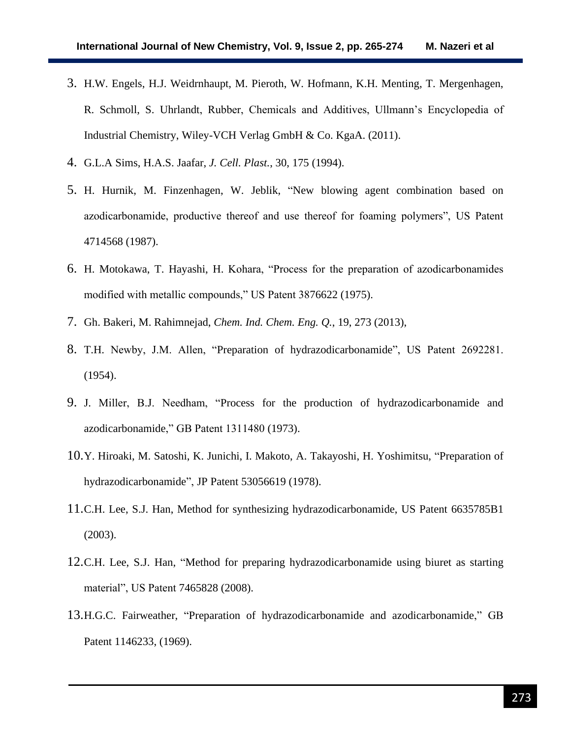- 3. H.W. Engels, H.J. Weidrnhaupt, M. Pieroth, W. Hofmann, K.H. Menting, T. Mergenhagen, R. Schmoll, S. Uhrlandt, Rubber, Chemicals and Additives, Ullmann's Encyclopedia of Industrial Chemistry, Wiley-VCH Verlag GmbH & Co. KgaA. (2011).
- 4. G.L.A Sims, H.A.S. Jaafar, *J. Cell. Plast.*, 30, 175 (1994).
- 5. H. Hurnik, M. Finzenhagen, W. Jeblik, "New blowing agent combination based on azodicarbonamide, productive thereof and use thereof for foaming polymers", US Patent 4714568 (1987).
- 6. H. Motokawa, T. Hayashi, H. Kohara, "Process for the preparation of azodicarbonamides modified with metallic compounds," US Patent 3876622 (1975).
- 7. Gh. Bakeri, M. Rahimnejad, *Chem. Ind. Chem. Eng. Q.*, 19, 273 (2013),
- 8. T.H. Newby, J.M. Allen, "Preparation of hydrazodicarbonamide", US Patent 2692281. (1954).
- 9. J. Miller, B.J. Needham, "Process for the production of hydrazodicarbonamide and azodicarbonamide," GB Patent 1311480 (1973).
- 10.Y. Hiroaki, M. Satoshi, K. Junichi, I. Makoto, A. Takayoshi, H. Yoshimitsu, "Preparation of hydrazodicarbonamide", JP Patent 53056619 (1978).
- 11.C.H. Lee, S.J. Han, Method for synthesizing hydrazodicarbonamide, US Patent 6635785B1 (2003).
- 12.C.H. Lee, S.J. Han, "Method for preparing hydrazodicarbonamide using biuret as starting material", US Patent 7465828 (2008).
- 13.H.G.C. Fairweather, "Preparation of hydrazodicarbonamide and azodicarbonamide," GB Patent 1146233, (1969).